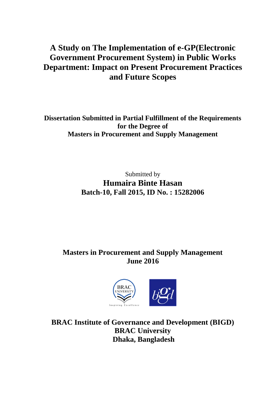# **A Study on The Implementation of e-GP(Electronic Government Procurement System) in Public Works Department: Impact on Present Procurement Practices and Future Scopes**

**Dissertation Submitted in Partial Fulfillment of the Requirements for the Degree of Masters in Procurement and Supply Management**

> Submitted by **Humaira Binte Hasan Batch-10, Fall 2015, ID No. : 15282006**

# **Masters in Procurement and Supply Management June 2016**



**BRAC Institute of Governance and Development (BIGD) BRAC University Dhaka, Bangladesh**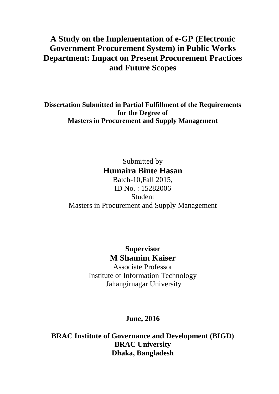# **A Study on the Implementation of e-GP (Electronic Government Procurement System) in Public Works Department: Impact on Present Procurement Practices and Future Scopes**

**Dissertation Submitted in Partial Fulfillment of the Requirements for the Degree of Masters in Procurement and Supply Management**

> Submitted by **Humaira Binte Hasan**

Batch-10,Fall 2015, ID No. : 15282006 Student Masters in Procurement and Supply Management

> **Supervisor M Shamim Kaiser**

Associate Professor Institute of Information Technology Jahangirnagar University

# **June, 2016**

**BRAC Institute of Governance and Development (BIGD) BRAC University Dhaka, Bangladesh**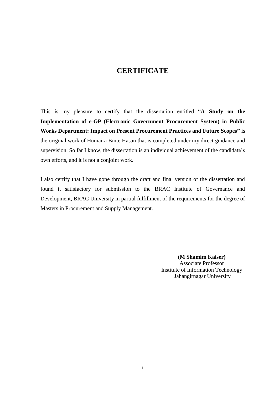## **CERTIFICATE**

<span id="page-2-0"></span>This is my pleasure to certify that the dissertation entitled "**A Study on the Implementation of e-GP (Electronic Government Procurement System) in Public Works Department: Impact on Present Procurement Practices and Future Scopes"** is the original work of Humaira Binte Hasan that is completed under my direct guidance and supervision. So far I know, the dissertation is an individual achievement of the candidate's own efforts, and it is not a conjoint work.

I also certify that I have gone through the draft and final version of the dissertation and found it satisfactory for submission to the BRAC Institute of Governance and Development, BRAC University in partial fulfillment of the requirements for the degree of Masters in Procurement and Supply Management.

> **(M Shamim Kaiser)** Associate Professor Institute of Information Technology Jahangirnagar University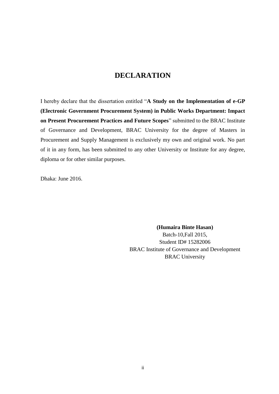# **DECLARATION**

<span id="page-3-0"></span>I hereby declare that the dissertation entitled "**A Study on the Implementation of e-GP (Electronic Government Procurement System) in Public Works Department: Impact on Present Procurement Practices and Future Scopes**" submitted to the BRAC Institute of Governance and Development, BRAC University for the degree of Masters in Procurement and Supply Management is exclusively my own and original work. No part of it in any form, has been submitted to any other University or Institute for any degree, diploma or for other similar purposes.

Dhaka: June 2016.

**(Humaira Binte Hasan)**

Batch-10,Fall 2015, Student ID# 15282006 BRAC Institute of Governance and Development BRAC University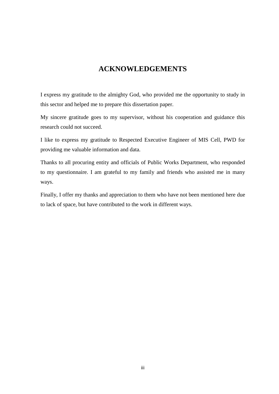# **ACKNOWLEDGEMENTS**

<span id="page-4-0"></span>I express my gratitude to the almighty God, who provided me the opportunity to study in this sector and helped me to prepare this dissertation paper.

My sincere gratitude goes to my supervisor, without his cooperation and guidance this research could not succeed.

I like to express my gratitude to Respected Executive Engineer of MIS Cell, PWD for providing me valuable information and data.

Thanks to all procuring entity and officials of Public Works Department, who responded to my questionnaire. I am grateful to my family and friends who assisted me in many ways.

Finally, I offer my thanks and appreciation to them who have not been mentioned here due to lack of space, but have contributed to the work in different ways.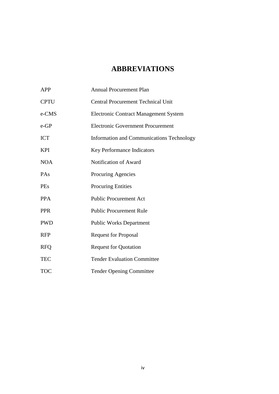# **ABBREVIATIONS**

<span id="page-5-0"></span>

| <b>APP</b>  | <b>Annual Procurement Plan</b>                   |
|-------------|--------------------------------------------------|
| <b>CPTU</b> | <b>Central Procurement Technical Unit</b>        |
| e-CMS       | <b>Electronic Contract Management System</b>     |
| $e$ -GP     | <b>Electronic Government Procurement</b>         |
| <b>ICT</b>  | <b>Information and Communications Technology</b> |
| KPI         | Key Performance Indicators                       |
| <b>NOA</b>  | Notification of Award                            |
| PAs         | Procuring Agencies                               |
| <b>PEs</b>  | <b>Procuring Entities</b>                        |
| <b>PPA</b>  | <b>Public Procurement Act</b>                    |
| <b>PPR</b>  | <b>Public Procurement Rule</b>                   |
| <b>PWD</b>  | <b>Public Works Department</b>                   |
| <b>RFP</b>  | <b>Request for Proposal</b>                      |
| <b>RFO</b>  | <b>Request for Quotation</b>                     |
| <b>TEC</b>  | <b>Tender Evaluation Committee</b>               |
| <b>TOC</b>  | <b>Tender Opening Committee</b>                  |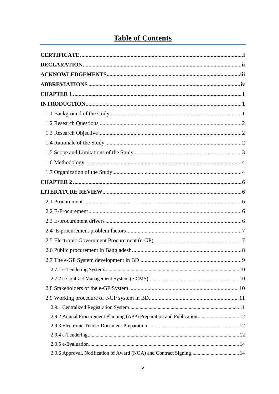# **Table of Contents**

| 2.9.2 Annual Procurement Planning (APP) Preparation and Publication 12 |  |
|------------------------------------------------------------------------|--|
|                                                                        |  |
|                                                                        |  |
|                                                                        |  |
|                                                                        |  |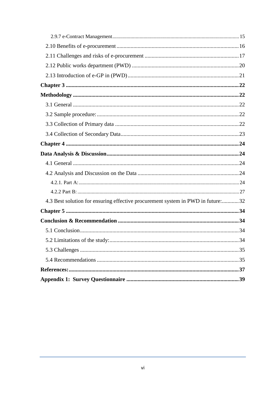| 4.3 Best solution for ensuring effective procurement system in PWD in future:32 |    |
|---------------------------------------------------------------------------------|----|
|                                                                                 |    |
|                                                                                 |    |
|                                                                                 |    |
|                                                                                 | 34 |
|                                                                                 |    |
|                                                                                 |    |
|                                                                                 |    |
|                                                                                 |    |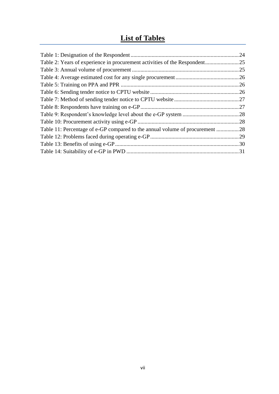# **List of Tables**

|                                                                              | 24  |
|------------------------------------------------------------------------------|-----|
|                                                                              |     |
|                                                                              | .25 |
|                                                                              | .26 |
|                                                                              | .26 |
|                                                                              | 26  |
|                                                                              |     |
|                                                                              | .27 |
|                                                                              |     |
|                                                                              | .28 |
| Table 11: Percentage of e-GP compared to the annual volume of procurement 28 |     |
|                                                                              |     |
|                                                                              |     |
|                                                                              |     |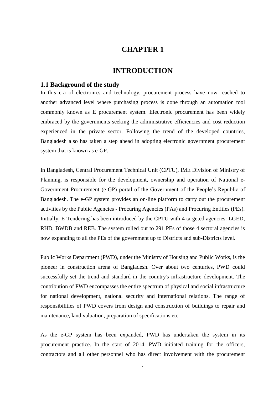## **CHAPTER 1**

## **INTRODUCTION**

## <span id="page-9-2"></span><span id="page-9-1"></span><span id="page-9-0"></span>**1.1 Background of the study**

In this era of electronics and technology, procurement process have now reached to another advanced level where purchasing process is done through an automation tool commonly known as E procurement system. Electronic procurement has been widely embraced by the governments seeking the administrative efficiencies and cost reduction experienced in the private sector. Following the trend of the developed countries, Bangladesh also has taken a step ahead in adopting electronic government procurement system that is known as e-GP.

In Bangladesh, Central Procurement Technical Unit (CPTU), IME Division of Ministry of Planning, is responsible for the development, ownership and operation of National e-Government Procurement (e-GP) portal of the Government of the People's Republic of Bangladesh. The e-GP system provides an on-line platform to carry out the procurement activities by the Public Agencies - Procuring Agencies (PAs) and Procuring Entities (PEs). Initially, E-Tendering has been introduced by the CPTU with 4 targeted agencies: LGED, RHD, BWDB and REB. The system rolled out to 291 PEs of those 4 sectoral agencies is now expanding to all the PEs of the government up to Districts and sub-Districts level.

Public Works Department (PWD), under the Ministry of Housing and Public Works, is the pioneer in construction arena of Bangladesh. Over about two centuries, PWD could successfully set the trend and standard in the country's infrastructure development. The contribution of PWD encompasses the entire spectrum of physical and social infrastructure for national development, national security and international relations. The range of responsibilities of PWD covers from design and construction of buildings to repair and maintenance, land valuation, preparation of specifications etc.

As the e-GP system has been expanded, PWD has undertaken the system in its procurement practice. In the start of 2014, PWD initiated training for the officers, contractors and all other personnel who has direct involvement with the procurement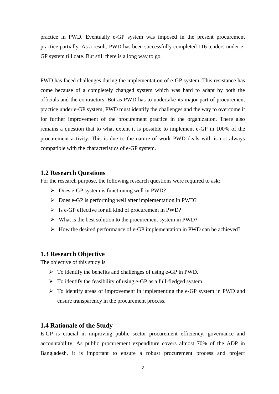practice in PWD. Eventually e-GP system was imposed in the present procurement practice partially. As a result, PWD has been successfully completed 116 tenders under e-GP system till date. But still there is a long way to go.

PWD has faced challenges during the implementation of e-GP system. This resistance has come because of a completely changed system which was hard to adapt by both the officials and the contractors. But as PWD has to undertake its major part of procurement practice under e-GP system, PWD must identify the challenges and the way to overcome it for further improvement of the procurement practice in the organization. There also remains a question that to what extent it is possible to implement e-GP in 100% of the procurement activity. This is due to the nature of work PWD deals with is not always compatible with the characteristics of e-GP system.

## <span id="page-10-0"></span>**1.2 Research Questions**

For the research purpose, the following research questions were required to ask:

- $\triangleright$  Does e-GP system is functioning well in PWD?
- Does e-GP is performing well after implementation in PWD?
- $\triangleright$  Is e-GP effective for all kind of procurement in PWD?
- $\triangleright$  What is the best solution to the procurement system in PWD?
- $\triangleright$  How the desired performance of e-GP implementation in PWD can be achieved?

## <span id="page-10-1"></span>**1.3 Research Objective**

The objective of this study is

- $\triangleright$  To identify the benefits and challenges of using e-GP in PWD.
- $\triangleright$  To identify the feasibility of using e-GP as a full-fledged system.
- To identify areas of improvement in implementing the e-GP system in PWD and ensure transparency in the procurement process.

### <span id="page-10-2"></span>**1.4 Rationale of the Study**

E-GP is crucial in improving public sector procurement efficiency, governance and accountability. As public procurement expenditure covers almost 70% of the ADP in Bangladesh, it is important to ensure a robust procurement process and project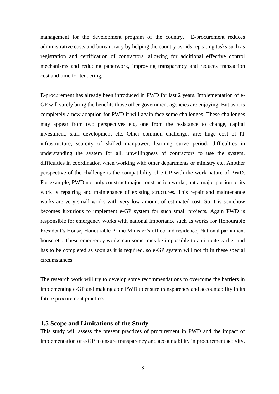management for the development program of the country. E-procurement reduces administrative costs and bureaucracy by helping the country avoids repeating tasks such as registration and certification of contractors, allowing for additional effective control mechanisms and reducing paperwork, improving transparency and reduces transaction cost and time for tendering.

E-procurement has already been introduced in PWD for last 2 years. Implementation of e-GP will surely bring the benefits those other government agencies are enjoying. But as it is completely a new adaption for PWD it will again face some challenges. These challenges may appear from two perspectives e.g. one from the resistance to change, capital investment, skill development etc. Other common challenges are: huge cost of IT infrastructure, scarcity of skilled manpower, learning curve period, difficulties in understanding the system for all, unwillingness of contractors to use the system, difficulties in coordination when working with other departments or ministry etc. Another perspective of the challenge is the compatibility of e-GP with the work nature of PWD. For example, PWD not only construct major construction works, but a major portion of its work is repairing and maintenance of existing structures. This repair and maintenance works are very small works with very low amount of estimated cost. So it is somehow becomes luxurious to implement e-GP system for such small projects. Again PWD is responsible for emergency works with national importance such as works for Honourable President's House, Honourable Prime Minister's office and residence, National parliament house etc. These emergency works can sometimes be impossible to anticipate earlier and has to be completed as soon as it is required, so e-GP system will not fit in these special circumstances.

The research work will try to develop some recommendations to overcome the barriers in implementing e-GP and making able PWD to ensure transparency and accountability in its future procurement practice.

## <span id="page-11-0"></span>**1.5 Scope and Limitations of the Study**

This study will assess the present practices of procurement in PWD and the impact of implementation of e-GP to ensure transparency and accountability in procurement activity.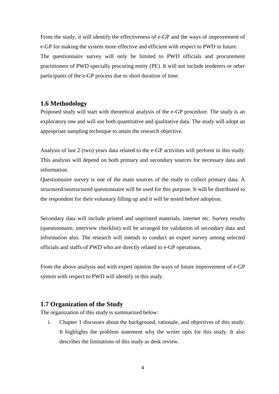From the study, it will identify the effectiveness of e-GP and the ways of improvement of e-GP for making the system more effective and efficient with respect to PWD in future. The questionnaire survey will only be limited to PWD officials and procurement practitioners of PWD specially procuring entity (PE). It will not include tenderers or other participants of the e-GP process due to short duration of time.

### <span id="page-12-0"></span>**1.6 Methodology**

Proposed study will start with theoretical analysis of the e-GP procedure. The study is an exploratory one and will use both quantitative and qualitative data. The study will adopt an appropriate sampling technique to attain the research objective.

Analysis of last 2 (two) years data related to the e-GP activities will perform in this study. This analysis will depend on both primary and secondary sources for necessary data and information.

Questionnaire survey is one of the main sources of the study to collect primary data. A structured/unstructured questionnaire will be used for this purpose. It will be distributed to the respondent for their voluntary filling up and it will be tested before adoption.

Secondary data will include printed and unprinted materials, internet etc. Survey results (questionnaire, interview checklist) will be arranged for validation of secondary data and information also. The research will intends to conduct an expert survey among selected officials and staffs of PWD who are directly related to e-GP operations.

From the above analysis and with expert opinion the ways of future improvement of e-GP system with respect to PWD will identify in this study.

## <span id="page-12-1"></span>**1.7 Organization of the Study**

The organization of this study is summarized below:

i. Chapter 1 discusses about the background, rationale, and objectives of this study. It highlights the problem statement why the writer opts for this study. It also describes the limitations of this study as desk review.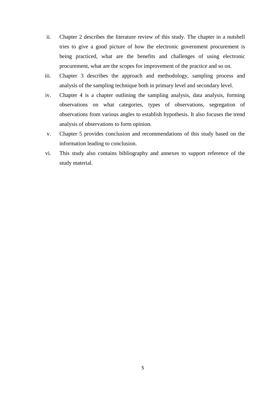- ii. Chapter 2 describes the literature review of this study. The chapter in a nutshell tries to give a good picture of how the electronic government procurement is being practiced, what are the benefits and challenges of using electronic procurement, what are the scopes for improvement of the practice and so on.
- iii. Chapter 3 describes the approach and methodology, sampling process and analysis of the sampling technique both in primary level and secondary level.
- iv. Chapter 4 is a chapter outlining the sampling analysis, data analysis, forming observations on what categories, types of observations, segregation of observations from various angles to establish hypothesis. It also focuses the trend analysis of observations to form opinion.
- v. Chapter 5 provides conclusion and recommendations of this study based on the information leading to conclusion.
- vi. This study also contains bibliography and annexes to support reference of the study material.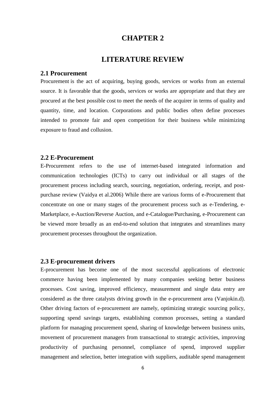## **CHAPTER 2**

## **LITERATURE REVIEW**

#### <span id="page-14-2"></span><span id="page-14-1"></span><span id="page-14-0"></span>**2.1 Procurement**

Procurement is the act of acquiring, buying goods, services or works from an external source. It is favorable that the goods, services or works are appropriate and that they are procured at the best possible cost to meet the needs of the acquirer in terms of quality and quantity, time, and location. Corporations and public bodies often define processes intended to promote fair and open competition for their business while minimizing exposure to fraud and collusion.

## <span id="page-14-3"></span>**2.2 E-Procurement**

E-Procurement refers to the use of internet-based integrated information and communication technologies (ICTs) to carry out individual or all stages of the procurement process including search, sourcing, negotiation, ordering, receipt, and postpurchase review (Vaidya et al.2006) While there are various forms of e-Procurement that concentrate on one or many stages of the procurement process such as e-Tendering, e-Marketplace, e-Auction/Reverse Auction, and e-Catalogue/Purchasing, e-Procurement can be viewed more broadly as an end-to-end solution that integrates and streamlines many procurement processes throughout the organization.

#### <span id="page-14-4"></span>**2.3 E-procurement drivers**

E-procurement has become one of the most successful applications of electronic commerce having been implemented by many companies seeking better business processes. Cost saving, improved efficiency, measurement and single data entry are considered as the three catalysts driving growth in the e-procurement area (Vanjokin.d). Other driving factors of e-procurement are namely, optimizing strategic sourcing policy, supporting spend savings targets, establishing common processes, setting a standard platform for managing procurement spend, sharing of knowledge between business units, movement of procurement managers from transactional to strategic activities, improving productivity of purchasing personnel, compliance of spend, improved supplier management and selection, better integration with suppliers, auditable spend management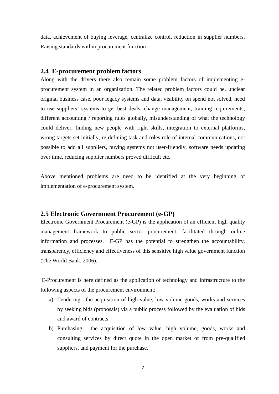data, achievement of buying leverage, centralize control, reduction in supplier numbers, Raising standards within procurement function

## <span id="page-15-0"></span>**2.4 E-procurement problem factors**

Along with the drivers there also remain some problem factors of implementing eprocurement system in an organization. The related problem factors could be, unclear original business case, poor legacy systems and data, visibility on spend not solved, need to use suppliers' systems to get best deals, change management, training requirements, different accounting / reporting rules globally, misunderstanding of what the technology could deliver, finding new people with right skills, integration to external platforms, wrong targets set initially, re-defining task and roles role of internal communications, not possible to add all suppliers, buying systems not user-friendly, software needs updating over time, reducing supplier numbers proved difficult etc.

Above mentioned problems are need to be identified at the very beginning of implementation of e-procurement system.

## <span id="page-15-1"></span>**2.5 Electronic Government Procurement (e-GP)**

Electronic Government Procurement (e-GP) is the application of an efficient high quality management framework to public sector procurement, facilitated through online information and processes. E-GP has the potential to strengthen the accountability, transparency, efficiency and effectiveness of this sensitive high value government function (The World Bank, 2006).

E-Procurement is here defined as the application of technology and infrastructure to the following aspects of the procurement environment:

- a) Tendering: the acquisition of high value, low volume goods, works and services by seeking bids (proposals) via a public process followed by the evaluation of bids and award of contracts.
- b) Purchasing: the acquisition of low value, high volume, goods, works and consulting services by direct quote in the open market or from pre-qualified suppliers, and payment for the purchase.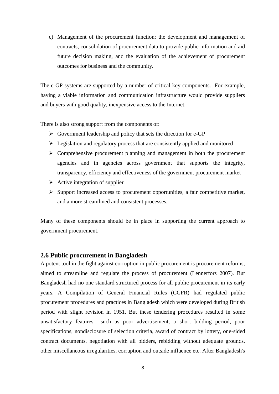c) Management of the procurement function: the development and management of contracts, consolidation of procurement data to provide public information and aid future decision making, and the evaluation of the achievement of procurement outcomes for business and the community.

The e-GP systems are supported by a number of critical key components. For example, having a viable information and communication infrastructure would provide suppliers and buyers with good quality, inexpensive access to the Internet.

There is also strong support from the components of:

- $\triangleright$  Government leadership and policy that sets the direction for e-GP
- $\triangleright$  Legislation and regulatory process that are consistently applied and monitored
- $\triangleright$  Comprehensive procurement planning and management in both the procurement agencies and in agencies across government that supports the integrity, transparency, efficiency and effectiveness of the government procurement market
- $\triangleright$  Active integration of supplier
- $\triangleright$  Support increased access to procurement opportunities, a fair competitive market, and a more streamlined and consistent processes.

Many of these components should be in place in supporting the current approach to government procurement.

## <span id="page-16-0"></span>**2.6 Public procurement in Bangladesh**

A potent tool in the fight against corruption in public procurement is procurement reforms, aimed to streamline and regulate the process of procurement (Lennerfors 2007). But Bangladesh had no one standard structured process for all public procurement in its early years. A Compilation of General Financial Rules (CGFR) had regulated public procurement procedures and practices in Bangladesh which were developed during British period with slight revision in 1951. But these tendering procedures resulted in some unsatisfactory features such as poor advertisement, a short bidding period, poor specifications, nondisclosure of selection criteria, award of contract by lottery, one-sided contract documents, negotiation with all bidders, rebidding without adequate grounds, other miscellaneous irregularities, corruption and outside influence etc. After Bangladesh's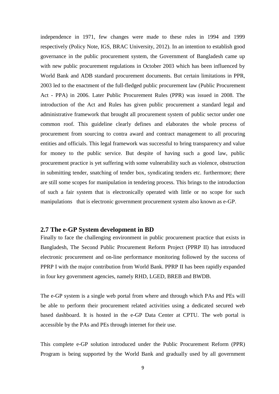independence in 1971, few changes were made to these rules in 1994 and 1999 respectively (Policy Note, IGS, BRAC University, 2012). In an intention to establish good governance in the public procurement system, the Government of Bangladesh came up with new public procurement regulations in October 2003 which has been influenced by World Bank and ADB standard procurement documents. But certain limitations in PPR, 2003 led to the enactment of the full-fledged public procurement law (Public Procurement Act - PPA) in 2006. Later Public Procurement Rules (PPR) was issued in 2008. The introduction of the Act and Rules has given public procurement a standard legal and administrative framework that brought all procurement system of public sector under one common roof. This guideline clearly defines and elaborates the whole process of procurement from sourcing to contra award and contract management to all procuring entities and officials. This legal framework was successful to bring transparency and value for money to the public service. But despite of having such a good law, public procurement practice is yet suffering with some vulnerability such as violence, obstruction in submitting tender, snatching of tender box, syndicating tenders etc. furthermore; there are still some scopes for manipulation in tendering process. This brings to the introduction of such a fair system that is electronically operated with little or no scope for such manipulations that is electronic government procurement system also known as e-GP.

## <span id="page-17-0"></span>**2.7 The e-GP System development in BD**

Finally to face the challenging environment in public procurement practice that exists in Bangladesh, The Second Public Procurement Reform Project (PPRP II) has introduced electronic procurement and on-line performance monitoring followed by the success of PPRP I with the major contribution from World Bank. PPRP II has been rapidly expanded in four key government agencies, namely RHD, LGED, BREB and BWDB.

The e-GP system is a single web portal from where and through which PAs and PEs will be able to perform their procurement related activities using a dedicated secured web based dashboard. It is hosted in the e-GP Data Center at CPTU. The web portal is accessible by the PAs and PEs through internet for their use.

This complete e-GP solution introduced under the Public Procurement Reform (PPR) Program is being supported by the World Bank and gradually used by all government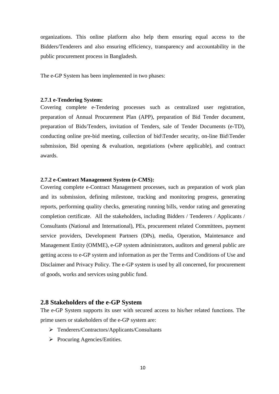organizations. This online platform also help them ensuring equal access to the Bidders/Tenderers and also ensuring efficiency, transparency and accountability in the public procurement process in Bangladesh.

The e-GP System has been implemented in two phases:

#### <span id="page-18-0"></span>**2.7.1 e-Tendering System:**

Covering complete e-Tendering processes such as centralized user registration, preparation of Annual Procurement Plan (APP), preparation of Bid Tender document, preparation of Bids/Tenders, invitation of Tenders, sale of Tender Documents (e-TD), conducting online pre-bid meeting, collection of bid\Tender security, on-line Bid\Tender submission, Bid opening & evaluation, negotiations (where applicable), and contract awards.

#### <span id="page-18-1"></span>**2.7.2 e-Contract Management System (e-CMS):**

Covering complete e-Contract Management processes, such as preparation of work plan and its submission, defining milestone, tracking and monitoring progress, generating reports, performing quality checks, generating running bills, vendor rating and generating completion certificate. All the stakeholders, including Bidders / Tenderers / Applicants / Consultants (National and International), PEs, procurement related Committees, payment service providers, Development Partners (DPs), media, Operation, Maintenance and Management Entity (OMME), e-GP system administrators, auditors and general public are getting access to e-GP system and information as per the Terms and Conditions of Use and Disclaimer and Privacy Policy. The e-GP system is used by all concerned, for procurement of goods, works and services using public fund.

#### <span id="page-18-2"></span>**2.8 Stakeholders of the e-GP System**

The e-GP System supports its user with secured access to his/her related functions. The prime users or stakeholders of the e-GP system are:

- Tenderers/Contractors/Applicants/Consultants
- $\triangleright$  Procuring Agencies/Entities.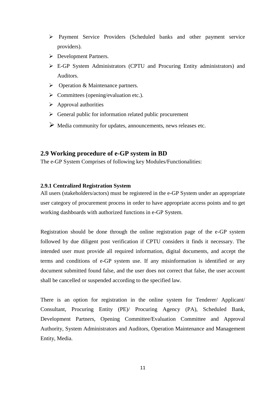- Payment Service Providers (Scheduled banks and other payment service providers).
- Development Partners.
- E-GP System Administrators (CPTU and Procuring Entity administrators) and Auditors.
- Operation & Maintenance partners.
- $\triangleright$  Committees (opening/evaluation etc.).
- $\triangleright$  Approval authorities
- $\triangleright$  General public for information related public procurement
- Media community for updates, announcements, news releases etc.

## <span id="page-19-0"></span>**2.9 Working procedure of e-GP system in BD**

The e-GP System Comprises of following key Modules/Functionalities:

#### <span id="page-19-1"></span>**2.9.1 Centralized Registration System**

All users (stakeholders/actors) must be registered in the e-GP System under an appropriate user category of procurement process in order to have appropriate access points and to get working dashboards with authorized functions in e-GP System.

Registration should be done through the online registration page of the e-GP system followed by due diligent post verification if CPTU considers it finds it necessary. The intended user must provide all required information, digital documents, and accept the terms and conditions of e-GP system use. If any misinformation is identified or any document submitted found false, and the user does not correct that false, the user account shall be cancelled or suspended according to the specified law.

There is an option for registration in the online system for Tenderer/ Applicant/ Consultant, Procuring Entity (PE)/ Procuring Agency (PA), Scheduled Bank, Development Partners, Opening Committee/Evaluation Committee and Approval Authority, System Administrators and Auditors, Operation Maintenance and Management Entity, Media.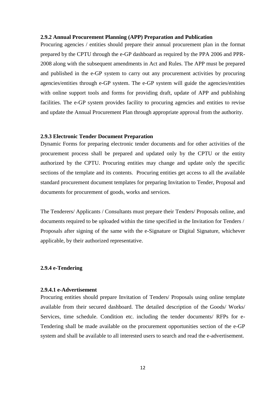#### **2.9.2 Annual Procurement Planning (APP) Preparation and Publication**

<span id="page-20-0"></span>Procuring agencies / entities should prepare their annual procurement plan in the format prepared by the CPTU through the e-GP dashboard as required by the PPA 2006 and PPR-2008 along with the subsequent amendments in Act and Rules. The APP must be prepared and published in the e-GP system to carry out any procurement activities by procuring agencies/entities through e-GP system. The e-GP system will guide the agencies/entities with online support tools and forms for providing draft, update of APP and publishing facilities. The e-GP system provides facility to procuring agencies and entities to revise and update the Annual Procurement Plan through appropriate approval from the authority.

#### <span id="page-20-1"></span>**2.9.3 Electronic Tender Document Preparation**

Dynamic Forms for preparing electronic tender documents and for other activities of the procurement process shall be prepared and updated only by the CPTU or the entity authorized by the CPTU. Procuring entities may change and update only the specific sections of the template and its contents. Procuring entities get access to all the available standard procurement document templates for preparing Invitation to Tender, Proposal and documents for procurement of goods, works and services.

The Tenderers/ Applicants / Consultants must prepare their Tenders/ Proposals online, and documents required to be uploaded within the time specified in the Invitation for Tenders / Proposals after signing of the same with the e-Signature or Digital Signature, whichever applicable, by their authorized representative.

#### <span id="page-20-2"></span>**2.9.4 e-Tendering**

#### **2.9.4.1 e-Advertisement**

Procuring entities should prepare Invitation of Tenders/ Proposals using online template available from their secured dashboard. The detailed description of the Goods/ Works/ Services, time schedule. Condition etc. including the tender documents/ RFPs for e-Tendering shall be made available on the procurement opportunities section of the e-GP system and shall be available to all interested users to search and read the e-advertisement.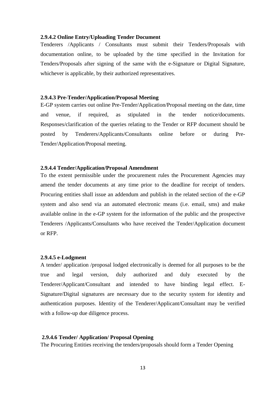#### **2.9.4.2 Online Entry/Uploading Tender Document**

Tenderers /Applicants / Consultants must submit their Tenders/Proposals with documentation online, to be uploaded by the time specified in the Invitation for Tenders/Proposals after signing of the same with the e-Signature or Digital Signature, whichever is applicable, by their authorized representatives.

#### **2.9.4.3 Pre-Tender/Application/Proposal Meeting**

E-GP system carries out online Pre-Tender/Application/Proposal meeting on the date, time and venue, if required, as stipulated in the tender notice/documents. Responses/clarification of the queries relating to the Tender or RFP document should be posted by Tenderers/Applicants/Consultants online before or during Pre-Tender/Application/Proposal meeting.

#### **2.9.4.4 Tender/Application/Proposal Amendment**

To the extent permissible under the procurement rules the Procurement Agencies may amend the tender documents at any time prior to the deadline for receipt of tenders. Procuring entities shall issue an addendum and publish in the related section of the e-GP system and also send via an automated electronic means (i.e. email, sms) and make available online in the e-GP system for the information of the public and the prospective Tenderers /Applicants/Consultants who have received the Tender/Application document or RFP.

#### **2.9.4.5 e-Lodgment**

A tender/ application /proposal lodged electronically is deemed for all purposes to be the true and legal version, duly authorized and duly executed by the Tenderer/Applicant/Consultant and intended to have binding legal effect. E-Signature/Digital signatures are necessary due to the security system for identity and authentication purposes. Identity of the Tenderer/Applicant/Consultant may be verified with a follow-up due diligence process.

#### **2.9.4.6 Tender/ Application/ Proposal Opening**

The Procuring Entities receiving the tenders/proposals should form a Tender Opening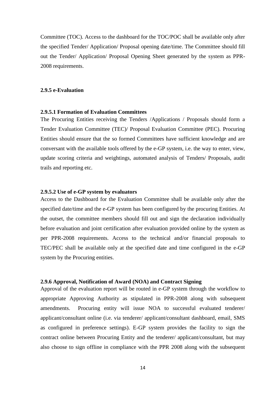Committee (TOC). Access to the dashboard for the TOC/POC shall be available only after the specified Tender/ Application/ Proposal opening date/time. The Committee should fill out the Tender/ Application/ Proposal Opening Sheet generated by the system as PPR-2008 requirements.

### <span id="page-22-0"></span>**2.9.5 e-Evaluation**

### **2.9.5.1 Formation of Evaluation Committees**

The Procuring Entities receiving the Tenders /Applications / Proposals should form a Tender Evaluation Committee (TEC)/ Proposal Evaluation Committee (PEC). Procuring Entities should ensure that the so formed Committees have sufficient knowledge and are conversant with the available tools offered by the e-GP system, i.e. the way to enter, view, update scoring criteria and weightings, automated analysis of Tenders/ Proposals, audit trails and reporting etc.

### **2.9.5.2 Use of e-GP system by evaluators**

Access to the Dashboard for the Evaluation Committee shall be available only after the specified date/time and the e-GP system has been configured by the procuring Entities. At the outset, the committee members should fill out and sign the declaration individually before evaluation and joint certification after evaluation provided online by the system as per PPR-2008 requirements. Access to the technical and/or financial proposals to TEC/PEC shall be available only at the specified date and time configured in the e-GP system by the Procuring entities.

#### <span id="page-22-1"></span>**2.9.6 Approval, Notification of Award (NOA) and Contract Signing**

Approval of the evaluation report will be routed in e-GP system through the workflow to appropriate Approving Authority as stipulated in PPR-2008 along with subsequent amendments. Procuring entity will issue NOA to successful evaluated tenderer/ applicant/consultant online (i.e. via tenderer/ applicant/consultant dashboard, email, SMS as configured in preference settings). E-GP system provides the facility to sign the contract online between Procuring Entity and the tenderer/ applicant/consultant, but may also choose to sign offline in compliance with the PPR 2008 along with the subsequent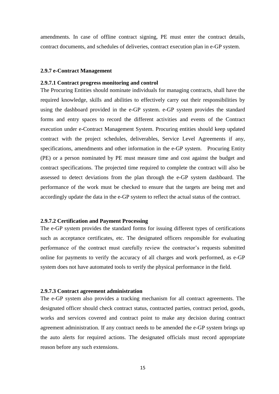amendments. In case of offline contract signing, PE must enter the contract details, contract documents, and schedules of deliveries, contract execution plan in e-GP system.

#### <span id="page-23-0"></span>**2.9.7 e-Contract Management**

#### **2.9.7.1 Contract progress monitoring and control**

The Procuring Entities should nominate individuals for managing contracts, shall have the required knowledge, skills and abilities to effectively carry out their responsibilities by using the dashboard provided in the e-GP system. e-GP system provides the standard forms and entry spaces to record the different activities and events of the Contract execution under e-Contract Management System. Procuring entities should keep updated contract with the project schedules, deliverables, Service Level Agreements if any, specifications, amendments and other information in the e-GP system. Procuring Entity (PE) or a person nominated by PE must measure time and cost against the budget and contract specifications. The projected time required to complete the contract will also be assessed to detect deviations from the plan through the e-GP system dashboard. The performance of the work must be checked to ensure that the targets are being met and accordingly update the data in the e-GP system to reflect the actual status of the contract.

#### **2.9.7.2 Certification and Payment Processing**

The e-GP system provides the standard forms for issuing different types of certifications such as acceptance certificates, etc. The designated officers responsible for evaluating performance of the contract must carefully review the contractor's requests submitted online for payments to verify the accuracy of all charges and work performed, as e-GP system does not have automated tools to verify the physical performance in the field.

#### **2.9.7.3 Contract agreement administration**

The e-GP system also provides a tracking mechanism for all contract agreements. The designated officer should check contract status, contracted parties, contract period, goods, works and services covered and contract point to make any decision during contract agreement administration. If any contract needs to be amended the e-GP system brings up the auto alerts for required actions. The designated officials must record appropriate reason before any such extensions.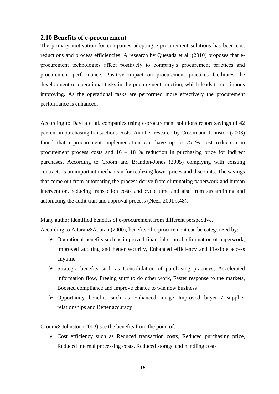## <span id="page-24-0"></span>**2.10 Benefits of e-procurement**

The primary motivation for companies adopting e-procurement solutions has been cost reductions and process efficiencies. A research by Quesada et al. (2010) proposes that eprocurement technologies affect positively to company's procurement practices and procurement performance. Positive impact on procurement practices facilitates the development of operational tasks in the procurement function, which leads to continuous improving. As the operational tasks are performed more effectively the procurement performance is enhanced.

According to Davila et al. companies using e-procurement solutions report savings of 42 percent in purchasing transactions costs. Another research by Croom and Johnston (2003) found that e-procurement implementation can have up to 75 % cost reduction in procurement process costs and 16 – 18 % reduction in purchasing price for indirect purchases. According to Croom and Brandon-Jones (2005) complying with existing contracts is an important mechanism for realizing lower prices and discounts. The savings that come out from automating the process derive from eliminating paperwork and human intervention, reducing transaction costs and cycle time and also from streamlining and automating the audit trail and approval process (Neef, 2001 s.48).

Many author identified benefits of e-procurement from different perspective.

According to Attaran&Attaran (2000), benefits of e-procurement can be categorized by:

- $\triangleright$  Operational benefits such as improved financial control, elimination of paperwork, improved auditing and better security, Enhanced efficiency and Flexible access anytime.
- $\triangleright$  Strategic benefits such as Consolidation of purchasing practices, Accelerated information flow, Freeing stuff to do other work, Faster response to the markets, Boosted compliance and Improve chance to win new business
- $\triangleright$  Opportunity benefits such as Enhanced image Improved buyer / supplier relationships and Better accuracy

Croom& Johnston (2003) see the benefits from the point of:

 Cost efficiency such as Reduced transaction costs, Reduced purchasing price, Reduced internal processing costs, Reduced storage and handling costs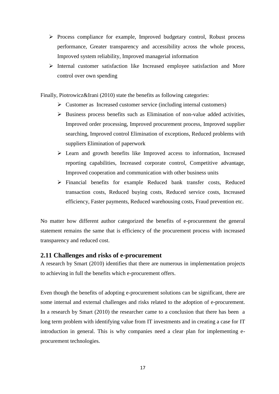- $\triangleright$  Process compliance for example, Improved budgetary control, Robust process performance, Greater transparency and accessibility across the whole process, Improved system reliability, Improved managerial information
- $\triangleright$  Internal customer satisfaction like Increased employee satisfaction and More control over own spending

Finally, Piotrowicz&Irani (2010) state the benefits as following categories:

- $\triangleright$  Customer as Increased customer service (including internal customers)
- $\triangleright$  Business process benefits such as Elimination of non-value added activities, Improved order processing, Improved procurement process, Improved supplier searching, Improved control Elimination of exceptions, Reduced problems with suppliers Elimination of paperwork
- $\triangleright$  Learn and growth benefits like Improved access to information, Increased reporting capabilities, Increased corporate control, Competitive advantage, Improved cooperation and communication with other business units
- Financial benefits for example Reduced bank transfer costs, Reduced transaction costs, Reduced buying costs, Reduced service costs, Increased efficiency, Faster payments, Reduced warehousing costs, Fraud prevention etc.

No matter how different author categorized the benefits of e-procurement the general statement remains the same that is efficiency of the procurement process with increased transparency and reduced cost.

## <span id="page-25-0"></span>**2.11 Challenges and risks of e-procurement**

A research by Smart (2010) identifies that there are numerous in implementation projects to achieving in full the benefits which e-procurement offers.

Even though the benefits of adopting e-procurement solutions can be significant, there are some internal and external challenges and risks related to the adoption of e-procurement. In a research by Smart (2010) the researcher came to a conclusion that there has been a long term problem with identifying value from IT investments and in creating a case for IT introduction in general. This is why companies need a clear plan for implementing eprocurement technologies.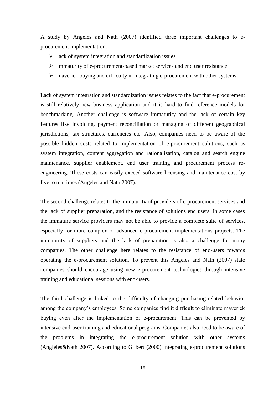A study by Angeles and Nath (2007) identified three important challenges to eprocurement implementation:

- $\triangleright$  lack of system integration and standardization issues
- $\triangleright$  immaturity of e-procurement-based market services and end user resistance
- $\triangleright$  maverick buying and difficulty in integrating e-procurement with other systems

Lack of system integration and standardization issues relates to the fact that e-procurement is still relatively new business application and it is hard to find reference models for benchmarking. Another challenge is software immaturity and the lack of certain key features like invoicing, payment reconciliation or managing of different geographical jurisdictions, tax structures, currencies etc. Also, companies need to be aware of the possible hidden costs related to implementation of e-procurement solutions, such as system integration, content aggregation and rationalization, catalog and search engine maintenance, supplier enablement, end user training and procurement process reengineering. These costs can easily exceed software licensing and maintenance cost by five to ten times (Angeles and Nath 2007).

The second challenge relates to the immaturity of providers of e-procurement services and the lack of supplier preparation, and the resistance of solutions end users. In some cases the immature service providers may not be able to provide a complete suite of services, especially for more complex or advanced e-procurement implementations projects. The immaturity of suppliers and the lack of preparation is also a challenge for many companies. The other challenge here relates to the resistance of end-users towards operating the e-procurement solution. To prevent this Angeles and Nath (2007) state companies should encourage using new e-procurement technologies through intensive training and educational sessions with end-users.

The third challenge is linked to the difficulty of changing purchasing-related behavior among the company's employees. Some companies find it difficult to eliminate maverick buying even after the implementation of e-procurement. This can be prevented by intensive end-user training and educational programs. Companies also need to be aware of the problems in integrating the e-procurement solution with other systems (Angleles&Nath 2007). According to Gilbert (2000) integrating e-procurement solutions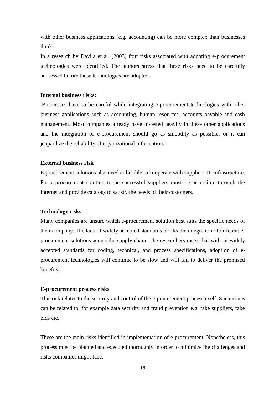with other business applications (e.g. accounting) can be more complex than businesses think.

In a research by Davila et al. (2003) four risks associated with adopting e-procurement technologies were identified. The authors stress that these risks need to be carefully addressed before these technologies are adopted.

#### **Internal business risks:**

Businesses have to be careful while integrating e-procurement technologies with other business applications such as accounting, human resources, accounts payable and cash management. Most companies already have invested heavily in these other applications and the integration of e-procurement should go as smoothly as possible, or it can jeopardize the reliability of organizational information.

#### **External business risk**

E-procurement solutions also need to be able to cooperate with suppliers IT-infrastructure. For e-procurement solution to be successful suppliers must be accessible through the Internet and provide catalogs to satisfy the needs of their customers.

#### **Technology risks**

Many companies are unsure which e-procurement solution best suits the specific needs of their company. The lack of widely accepted standards blocks the integration of different eprocurement solutions across the supply chain. The researchers insist that without widely accepted standards for coding, technical, and process specifications, adoption of eprocurement technologies will continue to be slow and will fail to deliver the promised benefits.

#### **E-procurement process risks**

This risk relates to the security and control of the e-procurement process itself. Such issues can be related to, for example data security and fraud prevention e.g. fake suppliers, fake bids etc.

These are the main risks identified in implementation of e-procurement. Nonetheless, this process must be planned and executed thoroughly in order to minimize the challenges and risks companies might face.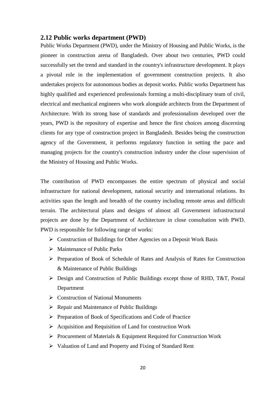### <span id="page-28-0"></span>**2.12 Public works department (PWD)**

Public Works Department (PWD), under the Ministry of Housing and Public Works, is the pioneer in construction arena of Bangladesh. Over about two centuries, PWD could successfully set the trend and standard in the country's infrastructure development. It plays a pivotal role in the implementation of government construction projects. It also undertakes projects for autonomous bodies as deposit works. Public works Department has highly qualified and experienced professionals forming a multi-disciplinary team of civil, electrical and mechanical engineers who work alongside architects from the Department of Architecture. With its strong base of standards and professionalism developed over the years, PWD is the repository of expertise and hence the first choices among discerning clients for any type of construction project in Bangladesh. Besides being the construction agency of the Government, it performs regulatory function in setting the pace and managing projects for the country's construction industry under the close supervision of the Ministry of Housing and Public Works.

The contribution of PWD encompasses the entire spectrum of physical and social infrastructure for national development, national security and international relations. Its activities span the length and breadth of the country including remote areas and difficult terrain. The architectural plans and designs of almost all Government infrastructural projects are done by the Department of Architecture in close consultation with PWD. PWD is responsible for following range of works:

- $\triangleright$  Construction of Buildings for Other Agencies on a Deposit Work Basis
- $\triangleright$  Maintenance of Public Parks
- Preparation of Book of Schedule of Rates and Analysis of Rates for Construction & Maintenance of Public Buildings
- Design and Construction of Public Buildings except those of RHD, T&T, Postal Department
- **►** Construction of National Monuments
- $\triangleright$  Repair and Maintenance of Public Buildings
- $\triangleright$  Preparation of Book of Specifications and Code of Practice
- $\triangleright$  Acquisition and Requisition of Land for construction Work
- $\triangleright$  Procurement of Materials & Equipment Required for Construction Work
- $\triangleright$  Valuation of Land and Property and Fixing of Standard Rent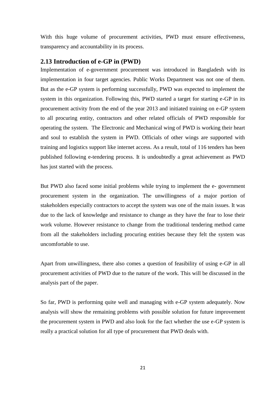With this huge volume of procurement activities, PWD must ensure effectiveness, transparency and accountability in its process.

## <span id="page-29-0"></span>**2.13 Introduction of e-GP in (PWD)**

Implementation of e-government procurement was introduced in Bangladesh with its implementation in four target agencies. Public Works Department was not one of them. But as the e-GP system is performing successfully, PWD was expected to implement the system in this organization. Following this, PWD started a target for starting e-GP in its procurement activity from the end of the year 2013 and initiated training on e-GP system to all procuring entity, contractors and other related officials of PWD responsible for operating the system. The Electronic and Mechanical wing of PWD is working their heart and soul to establish the system in PWD. Officials of other wings are supported with training and logistics support like internet access. As a result, total of 116 tenders has been published following e-tendering process. It is undoubtedly a great achievement as PWD has just started with the process.

But PWD also faced some initial problems while trying to implement the e- government procurement system in the organization. The unwillingness of a major portion of stakeholders especially contractors to accept the system was one of the main issues. It was due to the lack of knowledge and resistance to change as they have the fear to lose their work volume. However resistance to change from the traditional tendering method came from all the stakeholders including procuring entities because they felt the system was uncomfortable to use.

Apart from unwillingness, there also comes a question of feasibility of using e-GP in all procurement activities of PWD due to the nature of the work. This will be discussed in the analysis part of the paper.

So far, PWD is performing quite well and managing with e-GP system adequately. Now analysis will show the remaining problems with possible solution for future improvement the procurement system in PWD and also look for the fact whether the use e-GP system is really a practical solution for all type of procurement that PWD deals with.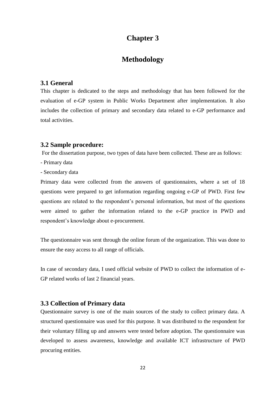# **Chapter 3**

## **Methodology**

## <span id="page-30-2"></span><span id="page-30-1"></span><span id="page-30-0"></span>**3.1 General**

This chapter is dedicated to the steps and methodology that has been followed for the evaluation of e-GP system in Public Works Department after implementation. It also includes the collection of primary and secondary data related to e-GP performance and total activities.

### <span id="page-30-3"></span>**3.2 Sample procedure:**

For the dissertation purpose, two types of data have been collected. These are as follows:

- Primary data
- Secondary data

Primary data were collected from the answers of questionnaires, where a set of 18 questions were prepared to get information regarding ongoing e-GP of PWD. First few questions are related to the respondent's personal information, but most of the questions were aimed to gather the information related to the e-GP practice in PWD and respondent's knowledge about e-procurement.

The questionnaire was sent through the online forum of the organization. This was done to ensure the easy access to all range of officials.

In case of secondary data, I used official website of PWD to collect the information of e-GP related works of last 2 financial years.

## <span id="page-30-4"></span>**3.3 Collection of Primary data**

Questionnaire survey is one of the main sources of the study to collect primary data. A structured questionnaire was used for this purpose. It was distributed to the respondent for their voluntary filling up and answers were tested before adoption. The questionnaire was developed to assess awareness, knowledge and available ICT infrastructure of PWD procuring entities.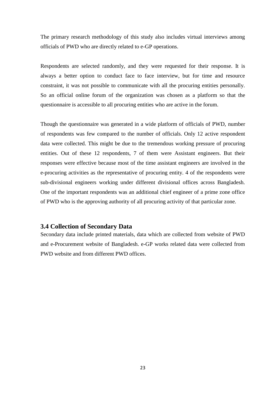The primary research methodology of this study also includes virtual interviews among officials of PWD who are directly related to e-GP operations.

Respondents are selected randomly, and they were requested for their response. It is always a better option to conduct face to face interview, but for time and resource constraint, it was not possible to communicate with all the procuring entities personally. So an official online forum of the organization was chosen as a platform so that the questionnaire is accessible to all procuring entities who are active in the forum.

Though the questionnaire was generated in a wide platform of officials of PWD, number of respondents was few compared to the number of officials. Only 12 active respondent data were collected. This might be due to the tremendous working pressure of procuring entities. Out of these 12 respondents, 7 of them were Assistant engineers. But their responses were effective because most of the time assistant engineers are involved in the e-procuring activities as the representative of procuring entity. 4 of the respondents were sub-divisional engineers working under different divisional offices across Bangladesh. One of the important respondents was an additional chief engineer of a prime zone office of PWD who is the approving authority of all procuring activity of that particular zone.

## <span id="page-31-0"></span>**3.4 Collection of Secondary Data**

Secondary data include printed materials, data which are collected from website of PWD and e-Procurement website of Bangladesh. e-GP works related data were collected from PWD website and from different PWD offices.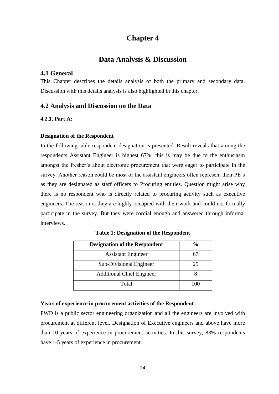# **Chapter 4**

## **Data Analysis & Discussion**

## <span id="page-32-2"></span><span id="page-32-1"></span><span id="page-32-0"></span>**4.1 General**

This Chapter describes the details analysis of both the primary and secondary data. Discussion with this details analysis is also highlighted in this chapter.

## <span id="page-32-3"></span>**4.2 Analysis and Discussion on the Data**

#### <span id="page-32-4"></span>**4.2.1. Part A:**

#### **Designation of the Respondent**

In the following table respondent designation is presented. Result reveals that among the respondents Assistant Engineer is highest 67%, this is may be due to the enthusiasm amongst the fresher's about electronic procurement that were eager to participate in the survey. Another reason could be most of the assistant engineers often represent their PE's as they are designated as staff officers to Procuring entities. Question might arise why there is no respondent who is directly related to procuring activity such as executive engineers. The reason is they are highly occupied with their work and could not formally participate in the survey. But they were cordial enough and answered through informal interviews.

<span id="page-32-5"></span>

| <b>Designation of the Respondent</b> | $\frac{6}{10}$ |
|--------------------------------------|----------------|
| <b>Assistant Engineer</b>            |                |
| Sub-Divisional Engineer              | 25             |
| <b>Additional Chief Engineer</b>     |                |
| Total                                |                |

**Table 1: Designation of the Respondent**

#### **Years of experience in procurement activities of the Respondent**

PWD is a public sector engineering organization and all the engineers are involved with procurement at different level. Designation of Executive engineers and above have more than 10 years of experience in procurement activities. In this survey, 83% respondents have 1-5 years of experience in procurement.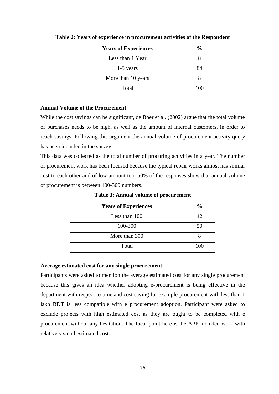| <b>Years of Experiences</b> | $\frac{0}{0}$ |
|-----------------------------|---------------|
| Less than 1 Year            |               |
| $1-5$ years                 | 84            |
| More than 10 years          |               |
| Total                       | 100           |

<span id="page-33-0"></span>**Table 2: Years of experience in procurement activities of the Respondent**

## **Annual Volume of the Procurement**

While the cost savings can be significant, de Boer et al. (2002) argue that the total volume of purchases needs to be high, as well as the amount of internal customers, in order to reach savings. Following this argument the annual volume of procurement activity query has been included in the survey.

This data was collected as the total number of procuring activities in a year. The number of procurement work has been focused because the typical repair works almost has similar cost to each other and of low amount too. 50% of the responses show that annual volume of procurement is between 100-300 numbers.

<span id="page-33-1"></span>

| <b>Years of Experiences</b> | $\frac{0}{0}$ |
|-----------------------------|---------------|
| Less than 100               | 42            |
| 100-300                     | 50            |
| More than 300               |               |
| Total                       | 100           |

**Table 3: Annual volume of procurement**

### **Average estimated cost for any single procurement:**

Participants were asked to mention the average estimated cost for any single procurement because this gives an idea whether adopting e-procurement is being effective in the department with respect to time and cost saving for example procurement with less than 1 lakh BDT is less compatible with e procurement adoption. Participant were asked to exclude projects with high estimated cost as they are ought to be completed with e procurement without any hesitation. The focal point here is the APP included work with relatively small estimated cost.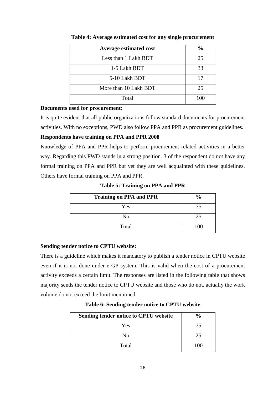<span id="page-34-0"></span>

| <b>Average estimated cost</b> | $\frac{0}{0}$ |
|-------------------------------|---------------|
| Less than 1 Lakh BDT          | 25            |
| 1-5 Lakh BDT                  | 33            |
| 5-10 Lakh BDT                 | 17            |
| More than 10 Lakh BDT         | 25            |
| Total                         |               |

**Table 4: Average estimated cost for any single procurement**

### **Documents used for procurement:**

It is quite evident that all public organizations follow standard documents for procurement activities. With no exceptions, PWD also follow PPA and PPR as procurement guidelines**.**

## **Respondents have training on PPA and PPR 2008**

Knowledge of PPA and PPR helps to perform procurement related activities in a better way. Regarding this PWD stands in a strong position. 3 of the respondent do not have any formal training on PPA and PPR but yet they are well acquainted with these guidelines. Others have formal training on PPA and PPR.

**Table 5: Training on PPA and PPR**

<span id="page-34-1"></span>

| <b>Training on PPA and PPR</b> | $\frac{6}{9}$ |
|--------------------------------|---------------|
| Yes                            | 75            |
| No                             | 25            |
| Total                          | $100 -$       |

## **Sending tender notice to CPTU website:**

There is a guideline which makes it mandatory to publish a tender notice in CPTU website even if it is not done under e-GP system. This is valid when the cost of a procurement activity exceeds a certain limit. The responses are listed in the following table that shows majority sends the tender notice to CPTU website and those who do not, actually the work volume do not exceed the limit mentioned.

**Table 6: Sending tender notice to CPTU website**

<span id="page-34-2"></span>

| Sending tender notice to CPTU website | $\frac{6}{9}$ |
|---------------------------------------|---------------|
| Yes                                   | 75            |
| N <sub>o</sub>                        | 25            |
| Total                                 | 100           |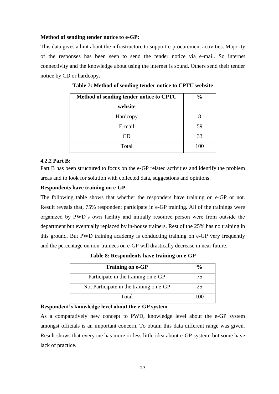### **Method of sending tender notice to e-GP:**

This data gives a hint about the infrastructure to support e-procurement activities. Majority of the responses has been seen to send the tender notice via e-mail. So internet connectivity and the knowledge about using the internet is sound. Others send their tender notice by CD or hardcopy**.**

<span id="page-35-1"></span>

| Method of sending tender notice to CPTU | $\frac{0}{0}$ |
|-----------------------------------------|---------------|
| website                                 |               |
| Hardcopy                                |               |
| E-mail                                  | 59            |
| CD                                      | 33            |
| Total                                   | 100           |

**Table 7: Method of sending tender notice to CPTU website**

#### <span id="page-35-0"></span>**4.2.2 Part B:**

Part B has been structured to focus on the e-GP related activities and identify the problem areas and to look for solution with collected data, suggestions and opinions.

#### **Respondents have training on e-GP**

The following table shows that whether the responders have training on e-GP or not. Result reveals that, 75% respondent participate in e-GP training. All of the trainings were organized by PWD's own facility and initially resource person were from outside the department but eventually replaced by in-house trainers. Rest of the 25% has no training in this ground. But PWD training academy is conducting training on e-GP very frequently and the percentage on non-trainees on e-GP will drastically decrease in near future.

**Table 8: Respondents have training on e-GP**

<span id="page-35-2"></span>

| <b>Training on e-GP</b>                 |    |
|-----------------------------------------|----|
| Participate in the training on e-GP     | 75 |
| Not Participate in the training on e-GP | 25 |
| Total                                   |    |

## **Respondent's knowledge level about the e-GP system**

As a comparatively new concept to PWD, knowledge level about the e-GP system amongst officials is an important concern. To obtain this data different range was given. Result shows that everyone has more or less little idea about e-GP system, but some have lack of practice.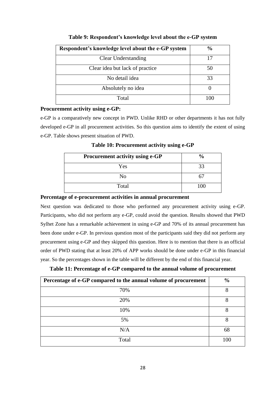<span id="page-36-0"></span>

| Respondent's knowledge level about the e-GP system | $\frac{6}{6}$ |
|----------------------------------------------------|---------------|
| <b>Clear Understanding</b>                         | 17            |
| Clear idea but lack of practice                    | 50            |
| No detail idea                                     | 33            |
| Absolutely no idea                                 |               |
| Total                                              | 100           |

#### **Table 9: Respondent's knowledge level about the e-GP system**

#### **Procurement activity using e-GP:**

<span id="page-36-1"></span>e-GP is a comparatively new concept in PWD. Unlike RHD or other departments it has not fully developed e-GP in all procurement activities. So this question aims to identify the extent of using e-GP. Table shows present situation of PWD.

**Procurement activity using e-GP**  $\frac{9}{6}$ Yes 33 No 67 Total 100

**Table 10: Procurement activity using e-GP**

## **Percentage of e-procurement activities in annual procurement**

Next question was dedicated to those who performed any procurement activity using e-GP. Participants, who did not perform any e-GP, could avoid the question. Results showed that PWD Sylhet Zone has a remarkable achievement in using e-GP and 70% of its annual procurement has been done under e-GP. In previous question most of the participants said they did not perform any procurement using e-GP and they skipped this question. Here is to mention that there is an official order of PWD stating that at least 20% of APP works should be done under e-GP in this financial year. So the percentages shown in the table will be different by the end of this financial year.

<span id="page-36-2"></span>

| Percentage of e-GP compared to the annual volume of procurement | $\frac{6}{9}$ |
|-----------------------------------------------------------------|---------------|
| 70%                                                             | 8             |
| 20%                                                             | 8             |
| 10%                                                             | 8             |
| 5%                                                              | 8             |
| N/A                                                             | 68            |
| Total                                                           | 100           |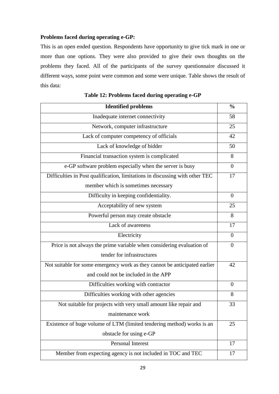## **Problems faced during operating e-GP:**

This is an open ended question. Respondents have opportunity to give tick mark in one or more than one options. They were also provided to give their own thoughts on the problems they faced. All of the participants of the survey questionnaire discussed it different ways, some point were common and some were unique. Table shows the result of this data:

<span id="page-37-0"></span>

| <b>Identified problems</b>                                                   |                  |
|------------------------------------------------------------------------------|------------------|
| Inadequate internet connectivity                                             | 58               |
| Network, computer infrastructure                                             | 25               |
| Lack of computer competency of officials                                     | 42               |
| Lack of knowledge of bidder                                                  | 50               |
| Financial transaction system is complicated                                  | 8                |
| e-GP software problem especially when the server is busy                     | $\theta$         |
| Difficulties in Post qualification, limitations in discussing with other TEC | 17               |
| member which is sometimes necessary                                          |                  |
| Difficulty in keeping confidentiality.                                       | $\theta$         |
| Acceptability of new system                                                  | 25               |
| Powerful person may create obstacle                                          | 8                |
| Lack of awareness                                                            | 17               |
| Electricity                                                                  | $\Omega$         |
| Price is not always the prime variable when considering evaluation of        | $\theta$         |
| tender for infrastructures                                                   |                  |
| Not suitable for some emergency work as they cannot be anticipated earlier   | 42               |
| and could not be included in the APP                                         |                  |
| Difficulties working with contractor                                         | $\boldsymbol{0}$ |
| Difficulties working with other agencies                                     | 8                |
| Not suitable for projects with very small amount like repair and             | 33               |
| maintenance work                                                             |                  |
| Existence of huge volume of LTM (limited tendering method) works is an       | 25               |
| obstacle for using e-GP                                                      |                  |
| Personal Interest                                                            | 17               |
| Member from expecting agency is not included in TOC and TEC                  | 17               |

**Table 12: Problems faced during operating e-GP**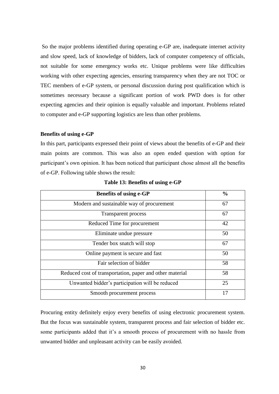So the major problems identified during operating e-GP are, inadequate internet activity and slow speed, lack of knowledge of bidders, lack of computer competency of officials, not suitable for some emergency works etc. Unique problems were like difficulties working with other expecting agencies, ensuring transparency when they are not TOC or TEC members of e-GP system, or personal discussion during post qualification which is sometimes necessary because a significant portion of work PWD does is for other expecting agencies and their opinion is equally valuable and important. Problems related to computer and e-GP supporting logistics are less than other problems.

#### **Benefits of using e-GP**

In this part, participants expressed their point of views about the benefits of e-GP and their main points are common. This was also an open ended question with option for participant's own opinion. It has been noticed that participant chose almost all the benefits of e-GP. Following table shows the result:

<span id="page-38-0"></span>

| <b>Benefits of using e-GP</b>                            | $\frac{0}{0}$ |
|----------------------------------------------------------|---------------|
| Modern and sustainable way of procurement                | 67            |
| Transparent process                                      | 67            |
| Reduced Time for procurement                             | 42            |
| Eliminate undue pressure                                 | 50            |
| Tender box snatch will stop                              | 67            |
| Online payment is secure and fast                        | 50            |
| Fair selection of bidder                                 | 58            |
| Reduced cost of transportation, paper and other material | 58            |
| Unwanted bidder's participation will be reduced          | 25            |
| Smooth procurement process                               | 17            |

**Table 13: Benefits of using e-GP**

Procuring entity definitely enjoy every benefits of using electronic procurement system. But the focus was sustainable system, transparent process and fair selection of bidder etc. some participants added that it's a smooth process of procurement with no hassle from unwanted bidder and unpleasant activity can be easily avoided.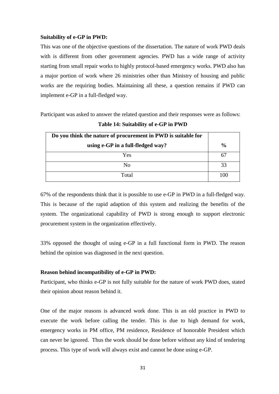#### **Suitability of e-GP in PWD:**

This was one of the objective questions of the dissertation. The nature of work PWD deals with is different from other government agencies. PWD has a wide range of activity starting from small repair works to highly protocol-based emergency works. PWD also has a major portion of work where 26 ministries other than Ministry of housing and public works are the requiring bodies. Maintaining all these, a question remains if PWD can implement e-GP in a full-fledged way.

<span id="page-39-0"></span>Participant was asked to answer the related question and their responses were as follows:

| Do you think the nature of procurement in PWD is suitable for |               |
|---------------------------------------------------------------|---------------|
| using e-GP in a full-fledged way?                             | $\frac{0}{0}$ |
| Yes                                                           | 67            |
| N <sub>o</sub>                                                | 33            |
| Total                                                         | 100           |

**Table 14: Suitability of e-GP in PWD**

67% of the respondents think that it is possible to use e-GP in PWD in a full-fledged way. This is because of the rapid adaption of this system and realizing the benefits of the system. The organizational capability of PWD is strong enough to support electronic procurement system in the organization effectively.

33% opposed the thought of using e-GP in a full functional form in PWD. The reason behind the opinion was diagnosed in the next question.

#### **Reason behind incompatibility of e-GP in PWD:**

Participant, who thinks e-GP is not fully suitable for the nature of work PWD does, stated their opinion about reason behind it.

One of the major reasons is advanced work done. This is an old practice in PWD to execute the work before calling the tender. This is due to high demand for work, emergency works in PM office, PM residence, Residence of honorable President which can never be ignored. Thus the work should be done before without any kind of tendering process. This type of work will always exist and cannot be done using e-GP.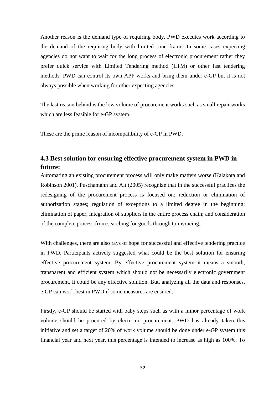Another reason is the demand type of requiring body. PWD executes work according to the demand of the requiring body with limited time frame. In some cases expecting agencies do not want to wait for the long process of electronic procurement rather they prefer quick service with Limited Tendering method (LTM) or other fast tendering methods. PWD can control its own APP works and bring them under e-GP but it is not always possible when working for other expecting agencies.

The last reason behind is the low volume of procurement works such as small repair works which are less feasible for e-GP system.

These are the prime reason of incompatibility of e-GP in PWD.

## <span id="page-40-0"></span>**4.3 Best solution for ensuring effective procurement system in PWD in future:**

Automating an existing procurement process will only make matters worse (Kalakota and Robinson 2001). Puschamann and Alt (2005) recognize that in the successful practices the redesigning of the procurement process is focused on: reduction or elimination of authorization stages; regulation of exceptions to a limited degree in the beginning; elimination of paper; integration of suppliers in the entire process chain; and consideration of the complete process from searching for goods through to invoicing.

With challenges, there are also rays of hope for successful and effective tendering practice in PWD. Participants actively suggested what could be the best solution for ensuring effective procurement system. By effective procurement system it means a smooth, transparent and efficient system which should not be necessarily electronic government procurement. It could be any effective solution. But, analyzing all the data and responses, e-GP can work best in PWD if some measures are ensured.

Firstly, e-GP should be started with baby steps such as with a minor percentage of work volume should be procured by electronic procurement. PWD has already taken this initiative and set a target of 20% of work volume should be done under e-GP system this financial year and next year, this percentage is intended to increase as high as 100%. To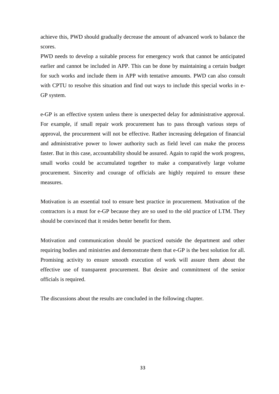achieve this, PWD should gradually decrease the amount of advanced work to balance the scores.

PWD needs to develop a suitable process for emergency work that cannot be anticipated earlier and cannot be included in APP. This can be done by maintaining a certain budget for such works and include them in APP with tentative amounts. PWD can also consult with CPTU to resolve this situation and find out ways to include this special works in e-GP system.

e-GP is an effective system unless there is unexpected delay for administrative approval. For example, if small repair work procurement has to pass through various steps of approval, the procurement will not be effective. Rather increasing delegation of financial and administrative power to lower authority such as field level can make the process faster. But in this case, accountability should be assured. Again to rapid the work progress, small works could be accumulated together to make a comparatively large volume procurement. Sincerity and courage of officials are highly required to ensure these measures.

Motivation is an essential tool to ensure best practice in procurement. Motivation of the contractors is a must for e-GP because they are so used to the old practice of LTM. They should be convinced that it resides better benefit for them.

Motivation and communication should be practiced outside the department and other requiring bodies and ministries and demonstrate them that e-GP is the best solution for all. Promising activity to ensure smooth execution of work will assure them about the effective use of transparent procurement. But desire and commitment of the senior officials is required.

The discussions about the results are concluded in the following chapter.

33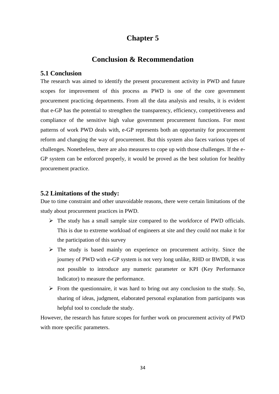# **Chapter 5**

## **Conclusion & Recommendation**

## <span id="page-42-2"></span><span id="page-42-1"></span><span id="page-42-0"></span>**5.1 Conclusion**

The research was aimed to identify the present procurement activity in PWD and future scopes for improvement of this process as PWD is one of the core government procurement practicing departments. From all the data analysis and results, it is evident that e-GP has the potential to strengthen the transparency, efficiency, competitiveness and compliance of the sensitive high value government procurement functions. For most patterns of work PWD deals with, e-GP represents both an opportunity for procurement reform and changing the way of procurement. But this system also faces various types of challenges. Nonetheless, there are also measures to cope up with those challenges. If the e-GP system can be enforced properly, it would be proved as the best solution for healthy procurement practice.

#### <span id="page-42-3"></span>**5.2 Limitations of the study:**

Due to time constraint and other unavoidable reasons, there were certain limitations of the study about procurement practices in PWD.

- $\triangleright$  The study has a small sample size compared to the workforce of PWD officials. This is due to extreme workload of engineers at site and they could not make it for the participation of this survey
- $\triangleright$  The study is based mainly on experience on procurement activity. Since the journey of PWD with e-GP system is not very long unlike, RHD or BWDB, it was not possible to introduce any numeric parameter or KPI (Key Performance Indicator) to measure the performance.
- $\triangleright$  From the questionnaire, it was hard to bring out any conclusion to the study. So, sharing of ideas, judgment, elaborated personal explanation from participants was helpful tool to conclude the study.

However, the research has future scopes for further work on procurement activity of PWD with more specific parameters.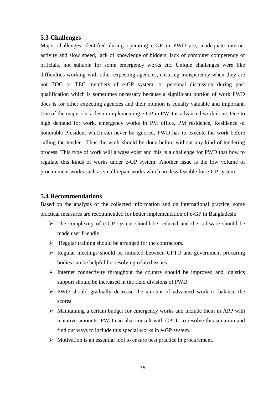## <span id="page-43-0"></span>**5.3 Challenges**

Major challenges identified during operating e-GP in PWD are, inadequate internet activity and slow speed, lack of knowledge of bidders, lack of computer competency of officials, not suitable for some emergency works etc. Unique challenges were like difficulties working with other expecting agencies, ensuring transparency when they are not TOC or TEC members of e-GP system, or personal discussion during post qualification which is sometimes necessary because a significant portion of work PWD does is for other expecting agencies and their opinion is equally valuable and important. One of the major obstacles in implementing e-GP in PWD is advanced work done. Due to high demand for work, emergency works in PM office, PM residence, Residence of honorable President which can never be ignored, PWD has to execute the work before calling the tender. Thus the work should be done before without any kind of tendering process. This type of work will always exist and this is a challenge for PWD that how to regulate this kinds of works under e-GP system. Another issue is the low volume of procurement works such as small repair works which are less feasible for e-GP system.

### <span id="page-43-1"></span>**5.4 Recommendations**

Based on the analysis of the collected information and on international practice, some practical measures are recommended for better implementation of e-GP in Bangladesh:

- $\triangleright$  The complexity of e-GP system should be reduced and the software should be made user friendly.
- $\triangleright$  Regular training should be arranged for the contractors.
- $\triangleright$  Regular meetings should be initiated between CPTU and government procuring bodies can be helpful for resolving related issues.
- $\triangleright$  Internet connectivity throughout the country should be improved and logistics support should be increased in the field divisions of PWD.
- PWD should gradually decrease the amount of advanced work to balance the scores.
- Maintaining a certain budget for emergency works and include them in APP with tentative amounts. PWD can also consult with CPTU to resolve this situation and find out ways to include this special works in e-GP system.
- $\triangleright$  Motivation is an essential tool to ensure best practice in procurement.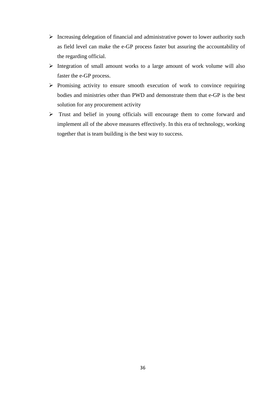- $\triangleright$  Increasing delegation of financial and administrative power to lower authority such as field level can make the e-GP process faster but assuring the accountability of the regarding official.
- $\triangleright$  Integration of small amount works to a large amount of work volume will also faster the e-GP process.
- $\triangleright$  Promising activity to ensure smooth execution of work to convince requiring bodies and ministries other than PWD and demonstrate them that e-GP is the best solution for any procurement activity
- Trust and belief in young officials will encourage them to come forward and implement all of the above measures effectively. In this era of technology, working together that is team building is the best way to success.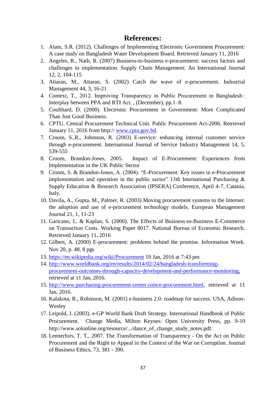## **References:**

- <span id="page-45-0"></span>1. Alam, S.R. (2012). Challenges of Implementing Electronic Government Procurement: A case study on Bangladesh Water Development Board. Retrieved January 11, 2016
- 2. Angeles, R., Nath, R. (2007) Business-to-business e-procurement: success factors and challenges to implementation. Supply Chain Management: An International Journal 12, 2, 104-115
- 3. Attaran, M., Attaran, S. (2002) Catch the wave of e-procurement. Industrial Management 44, 3, 16-21
- 4. Context, T., 2012. Improving Transparency in Public Procurement in Bangladesh : Interplay between PPA and RTI Act. , (December), pp.1–8.
- 5. Coulthard, D. (2000). Electronic Procurement in Government: More Complicated Than Just Good Business.
- 6. CPTU, Central Procurement Technical Unit. Public Procurement Act-2006. Retrieved January 11, 2016 from http:// [www.cptu.gov.bd.](http://www.cptu.gov.bd/)
- 7. Croom, S.,R., Johnston, R. (2003) E-service: enhancing internal customer service through e-procurement. International Journal of Service Industry Management 14, 5, 539-555
- 8. Croom, Brandon-Jones, 2005. Impact of E-Procurement: Experiences from Implementation in the UK Public Sector
- 9. Croom, S. & Brandon-Jones, A. (2004). "E-Procurement: Key issues in e-Procurement implementation and operation in the public sector" 13th International Purchasing  $\&$ Supply Education & Research Association (IPSERA) Conference, April 4-7, Catania, Italy.
- 10. Davila, A., Gupta, M., Palmer, R. (2003) Moving procurement systems to the Internet: the adoption and use of e-procurement technology models. European Management Journal 21, 1, 11-23
- 11. Garicano, L. & Kaplan, S. (2000). The Effects of Business-to-Business E-Commerce on Transaction Costs. Working Paper 8017. National Bureau of Economic Research. Retrieved January 11, 2016
- 12. Gilbert, A. (2000) E-procurement: problems behind the promise. Information Week. Nov 20, p. 48, 8 pgs
- 13. <https://en.wikipedia.org/wiki/Procurement> 19 Jan, 2016 at 7:43 pm
- 14. [http://www.worldbank.org/en/results/2014/02/24/bangladesh-transforming](http://www.worldbank.org/en/results/2014/02/24/bangladesh-transforming-procurement-outcomes-through-capacity-development-and-performance-monitoring)[procurement-outcomes-through-capacity-development-and-performance-monitoring,](http://www.worldbank.org/en/results/2014/02/24/bangladesh-transforming-procurement-outcomes-through-capacity-development-and-performance-monitoring) retrieved at 11 Jan, 2016.
- 15. [http://www.purchasing-procurement-center.com/e-procurement.html,](http://www.purchasing-procurement-center.com/e-procurement.html) retrieved at 11 Jan, 2016.
- 16. Kalakota, R., Robinson, M. (2001) e-business 2.0: roadmap for success. USA, Adison-Wesley
- 17. Leipold, J. (2003). e-GP World Bank Draft Strategy. International Handbook of Public Procurement. Change Media, Milton Keynes: Open University Press, pp. 9-10 http://www.solonline.org/resource/.../dance\_of\_change\_study\_notes.pdf.
- 18. Lennerfors, T. T., 2007. The Transformation of Transparency On the Act on Public Procurement and the Right to Appeal in the Context of the War on Corruption. Journal of Business Ethics, 73, 381 - 390.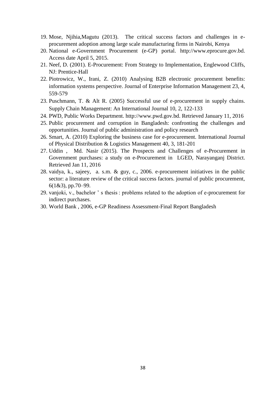- 19. Mose, Njihia,Magutu (2013). The critical success factors and challenges in eprocurement adoption among large scale manufacturing firms in Nairobi, Kenya
- 20. National e-Government Procurement (e-GP) portal. http://www.eprocure.gov.bd. Access date April 5, 2015.
- 21. Neef, D. (2001). E-Procurement: From Strategy to Implementation, Englewood Cliffs, NJ: Prentice-Hall
- 22. Piotrowicz, W., Irani, Z. (2010) Analysing B2B electronic procurement benefits: information systems perspective. Journal of Enterprise Information Management 23, 4, 559-579
- 23. Puschmann, T. & Alt R. (2005) Successful use of e-procurement in supply chains. Supply Chain Management: An International Journal 10, 2, 122-133
- 24. PWD, Public Works Department. http://www.pwd.gov.bd. Retrieved January 11, 2016
- 25. Public procurement and corruption in Bangladesh: confronting the challenges and opportunities. Journal of public administration and policy research
- 26. Smart, A. (2010) Exploring the business case for e-procurement. International Journal of Physical Distribution & Logistics Management 40, 3, 181-201
- 27. Uddin , Md. Nasir (2015). The Prospects and Challenges of e-Procurement in Government purchases: a study on e-Procurement in LGED, Narayanganj District. Retrieved Jan 11, 2016
- 28. vaidya, k., sajeey, a. s.m. & guy, c., 2006. e-procurement initiatives in the public sector: a literature review of the critical success factors. journal of public procurement,  $6(1&3)$ , pp. 70–99.
- 29. vanjoki, v., bachelor ' s thesis : problems related to the adoption of e-procurement for indirect purchases.
- 30. World Bank , 2006, e-GP Readiness Assessment-Final Report Bangladesh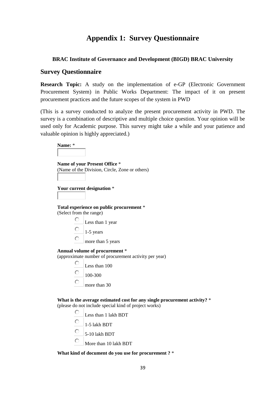# **Appendix 1: Survey Questionnaire**

## <span id="page-47-0"></span>**BRAC Institute of Governance and Development (BIGD) BRAC University**

## **Survey Questionnaire**

**Research Topic:** A study on the implementation of e-GP (Electronic Government Procurement System) in Public Works Department: The impact of it on present procurement practices and the future scopes of the system in PWD

(This is a survey conducted to analyze the present procurement activity in PWD. The survey is a combination of descriptive and multiple choice question. Your opinion will be used only for Academic purpose. This survey might take a while and your patience and valuable opinion is highly appreciated.)

| Name: *                 |                                                                                                                                    |
|-------------------------|------------------------------------------------------------------------------------------------------------------------------------|
|                         | Name of your Present Office *                                                                                                      |
|                         | (Name of the Division, Circle, Zone or others)                                                                                     |
|                         |                                                                                                                                    |
|                         | Your current designation *                                                                                                         |
|                         |                                                                                                                                    |
| (Select from the range) | Total experience on public procurement *                                                                                           |
|                         | Less than 1 year                                                                                                                   |
|                         | $1-5$ years                                                                                                                        |
|                         | more than 5 years                                                                                                                  |
|                         | Annual volume of procurement *<br>(approximate number of procurement activity per year)                                            |
|                         | Less than 100                                                                                                                      |
|                         | 100-300                                                                                                                            |
|                         | more than 30                                                                                                                       |
|                         | What is the average estimated cost for any single procurement activity? *<br>(please do not include special kind of project works) |
|                         | Less than 1 lakh BDT                                                                                                               |
|                         | 1-5 lakh BDT                                                                                                                       |

- 0 5-10 lakh BDT
- O More than 10 lakh BDT

#### **What kind of document do you use for procurement ?** \*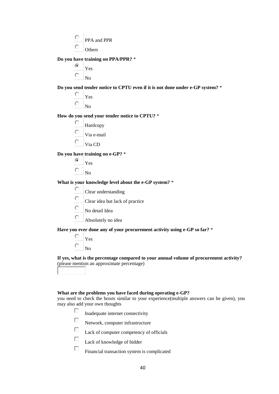- $\circ$ PPA and PPR
- $\circ$ **Others**

**Do you have training on PPA/PPR?** \*

 $\odot$ Yes  $\circ$ No

**Do you send tender notice to CPTU even if it is not done under e-GP system?** \*

О Yes

 $\circ$ 

 $N<sub>0</sub>$ 

**How do you send your tender notice to CPTU?** \*

- О Hardcopy
- $\circ$ Via e-mail
- $\circ$ Via CD

**Do you have training on e-GP?** \*

- ⊙ Yes
- $\circ$ No

**What is your knowledge level about the e-GP system?** \*

- $\bigcirc$ Clear understanding
- $\circ$ Clear idea but lack of practice
- $\circ$ No detail Idea
- О Absolutely no idea

**Have you ever done any of your procurement activity using e-GP so far?** \*

- О Yes  $\circ$ 
	- No

**If yes, what is the percentage compared to your annual volume of procurement activity?** (please mention an approximate percentage)

#### **What are the problems you have faced during operating e-GP?**

you need to check the boxes similar to your experience(multiple answers can be given), you may also add your own thoughts

- П Inadequate internet connectivity
- $\Box$ Network, computer infrastructure
- П Lack of computer competency of officials
- П Lack of knowledge of bidder
- $\Box$ Financial transaction system is complicated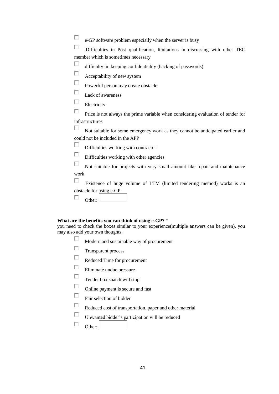П e-GP software problem especially when the server is busy

 $\Box$ Difficulties in Post qualification, limitations in discussing with other TEC member which is sometimes necessary

П difficulty in keeping confidentiality (hacking of passwords)

 $\Box$ Acceptability of new system

 $\Box$ Powerful person may create obstacle

 $\Box$ Lack of awareness

 $\Box$ Electricity

П Price is not always the prime variable when considering evaluation of tender for infrastructures

П Not suitable for some emergency work as they cannot be anticipated earlier and could not be included in the APP

П Difficulties working with contractor

 $\Box$ Difficulties working with other agencies

П Not suitable for projects with very small amount like repair and maintenance work

П Existence of huge volume of LTM (limited tendering method) works is an obstacle for using e-GP

П Other:

#### **What are the benefits you can think of using e-GP?** \*

you need to check the boxes similar to your experience(multiple answers can be given), you may also add your own thoughts.

 $\Box$ Modern and sustainable way of procurement

 $\Box$ Transparent process

 $\Box$ Reduced Time for procurement

- П Eliminate undue pressure
- П Tender box snatch will stop
- $\Box$ Online payment is secure and fast
- $\Box$ Fair selection of bidder
- П Reduced cost of transportation, paper and other material
- П Unwanted bidder's participation will be reduced

П Other:  $\vert$